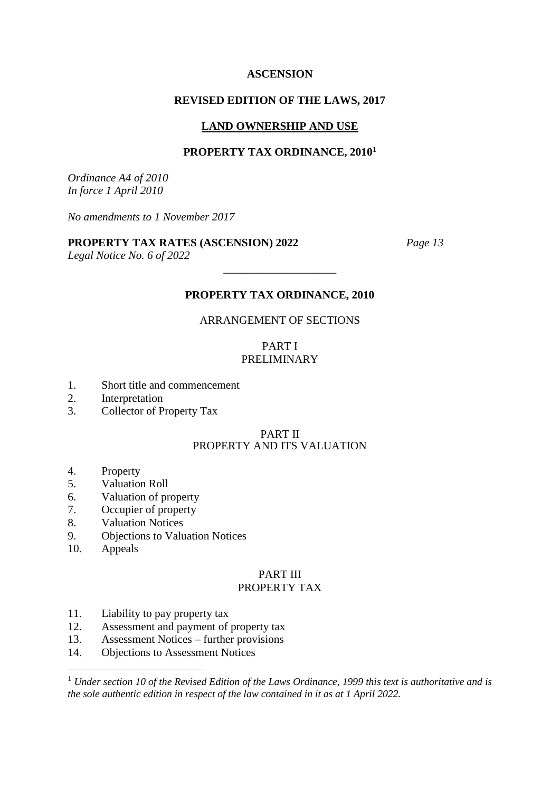#### **ASCENSION**

### **REVISED EDITION OF THE LAWS, 2017**

#### **LAND OWNERSHIP AND USE**

#### **PROPERTY TAX ORDINANCE, 2010<sup>1</sup>**

*Ordinance A4 of 2010 In force 1 April 2010*

*No amendments to 1 November 2017*

### **PROPERTY TAX RATES (ASCENSION) 2022** *Page 13*

*Legal Notice No. 6 of 2022*

### **PROPERTY TAX ORDINANCE, 2010**

\_\_\_\_\_\_\_\_\_\_\_\_\_\_\_\_\_\_\_\_

### ARRANGEMENT OF SECTIONS

#### PART I PRELIMINARY

- 1. Short title and commencement
- 2. Interpretation
- 3. Collector of Property Tax

#### PART II PROPERTY AND ITS VALUATION

- 4. Property
- 5. Valuation Roll
- 6. Valuation of property
- 7. Occupier of property
- 8. Valuation Notices
- 9. Objections to Valuation Notices
- 10. Appeals

1

# PART III

# PROPERTY TAX

- 11. Liability to pay property tax
- 12. Assessment and payment of property tax
- 13. Assessment Notices further provisions
- 14. Objections to Assessment Notices

<sup>1</sup> *Under section 10 of the Revised Edition of the Laws Ordinance, 1999 this text is authoritative and is the sole authentic edition in respect of the law contained in it as at 1 April 2022.*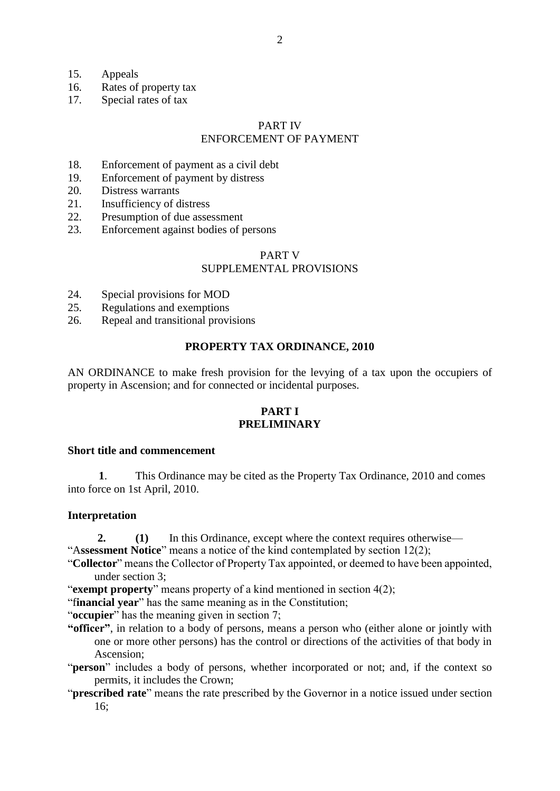- 15. Appeals
- 16. Rates of property tax
- 17. Special rates of tax

#### PART IV ENFORCEMENT OF PAYMENT

- 18. Enforcement of payment as a civil debt
- 19. Enforcement of payment by distress
- 20. Distress warrants
- 21. Insufficiency of distress
- 22. Presumption of due assessment
- 23. Enforcement against bodies of persons

### PART V

### SUPPLEMENTAL PROVISIONS

- 24. Special provisions for MOD
- 25. Regulations and exemptions
- 26. Repeal and transitional provisions

### **PROPERTY TAX ORDINANCE, 2010**

AN ORDINANCE to make fresh provision for the levying of a tax upon the occupiers of property in Ascension; and for connected or incidental purposes.

## **PART I PRELIMINARY**

#### **Short title and commencement**

 **1**. This Ordinance may be cited as the Property Tax Ordinance, 2010 and comes into force on 1st April, 2010.

#### **Interpretation**

- **2. (1)** In this Ordinance, except where the context requires otherwise—
- "A**ssessment Notice**" means a notice of the kind contemplated by section 12(2);
- "**Collector**" means the Collector of Property Tax appointed, or deemed to have been appointed, under section 3;
- "**exempt property**" means property of a kind mentioned in section 4(2);

"f**inancial year**" has the same meaning as in the Constitution;

- "**occupier**" has the meaning given in section 7;
- **"officer"**, in relation to a body of persons, means a person who (either alone or jointly with one or more other persons) has the control or directions of the activities of that body in Ascension;
- "**person**" includes a body of persons, whether incorporated or not; and, if the context so permits, it includes the Crown;
- "**prescribed rate**" means the rate prescribed by the Governor in a notice issued under section 16;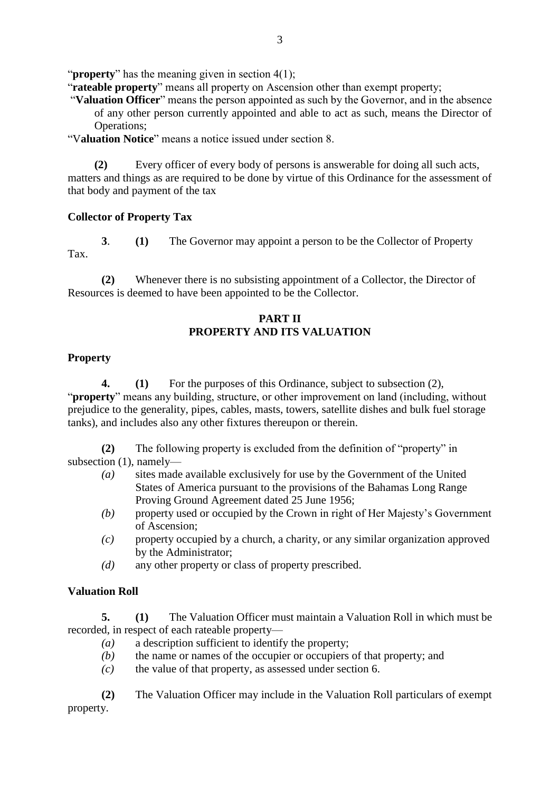"**property**" has the meaning given in section 4(1);

"**rateable property**" means all property on Ascension other than exempt property;

"**Valuation Officer**" means the person appointed as such by the Governor, and in the absence of any other person currently appointed and able to act as such, means the Director of Operations;

"V**aluation Notice**" means a notice issued under section 8.

Every officer of every body of persons is answerable for doing all such acts, matters and things as are required to be done by virtue of this Ordinance for the assessment of that body and payment of the tax

# **Collector of Property Tax**

**3**. **(1)** The Governor may appoint a person to be the Collector of Property Tax.

**(2)** Whenever there is no subsisting appointment of a Collector, the Director of Resources is deemed to have been appointed to be the Collector.

# **PART II PROPERTY AND ITS VALUATION**

# **Property**

**4. (1)** For the purposes of this Ordinance, subject to subsection (2), "**property**" means any building, structure, or other improvement on land (including, without prejudice to the generality, pipes, cables, masts, towers, satellite dishes and bulk fuel storage tanks), and includes also any other fixtures thereupon or therein.

**(2)** The following property is excluded from the definition of "property" in subsection (1), namely—

- *(a)* sites made available exclusively for use by the Government of the United States of America pursuant to the provisions of the Bahamas Long Range Proving Ground Agreement dated 25 June 1956;
- *(b)* property used or occupied by the Crown in right of Her Majesty's Government of Ascension;
- *(c)* property occupied by a church, a charity, or any similar organization approved by the Administrator;
- *(d)* any other property or class of property prescribed.

# **Valuation Roll**

**5. (1)** The Valuation Officer must maintain a Valuation Roll in which must be recorded, in respect of each rateable property—

- *(a)* a description sufficient to identify the property;
- *(b)* the name or names of the occupier or occupiers of that property; and
- *(c)* the value of that property, as assessed under section 6.

**(2)** The Valuation Officer may include in the Valuation Roll particulars of exempt property.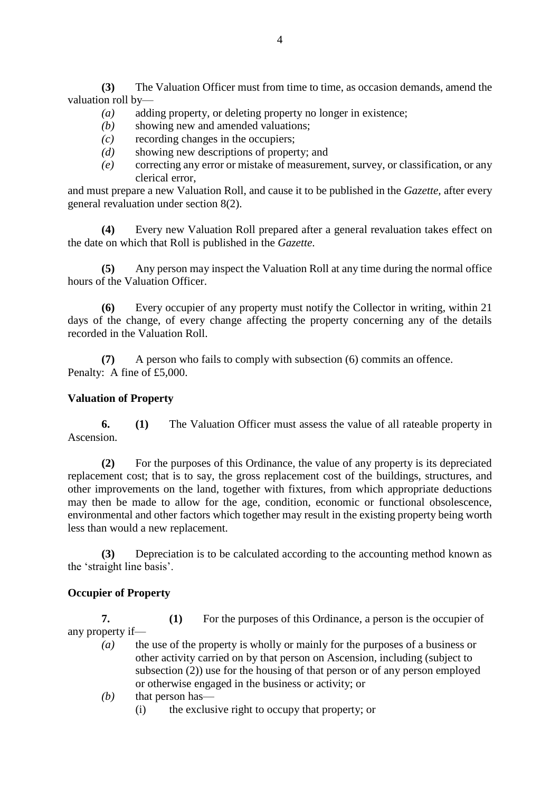**(3)** The Valuation Officer must from time to time, as occasion demands, amend the valuation roll by—

- *(a)* adding property, or deleting property no longer in existence;
- *(b)* showing new and amended valuations;
- *(c)* recording changes in the occupiers;
- *(d)* showing new descriptions of property; and
- *(e)* correcting any error or mistake of measurement, survey, or classification, or any clerical error,

and must prepare a new Valuation Roll, and cause it to be published in the *Gazette,* after every general revaluation under section 8(2).

**(4)** Every new Valuation Roll prepared after a general revaluation takes effect on the date on which that Roll is published in the *Gazette*.

**(5)** Any person may inspect the Valuation Roll at any time during the normal office hours of the Valuation Officer.

**(6)** Every occupier of any property must notify the Collector in writing, within 21 days of the change, of every change affecting the property concerning any of the details recorded in the Valuation Roll.

**(7)** A person who fails to comply with subsection (6) commits an offence. Penalty: A fine of £5,000.

# **Valuation of Property**

**6. (1)** The Valuation Officer must assess the value of all rateable property in Ascension.

**(2)** For the purposes of this Ordinance, the value of any property is its depreciated replacement cost; that is to say, the gross replacement cost of the buildings, structures, and other improvements on the land, together with fixtures, from which appropriate deductions may then be made to allow for the age, condition, economic or functional obsolescence, environmental and other factors which together may result in the existing property being worth less than would a new replacement.

**(3)** Depreciation is to be calculated according to the accounting method known as the 'straight line basis'.

# **Occupier of Property**

**7. (1)** For the purposes of this Ordinance, a person is the occupier of any property if—

- *(a)* the use of the property is wholly or mainly for the purposes of a business or other activity carried on by that person on Ascension, including (subject to subsection (2)) use for the housing of that person or of any person employed or otherwise engaged in the business or activity; or
- *(b)* that person has—
	- (i) the exclusive right to occupy that property; or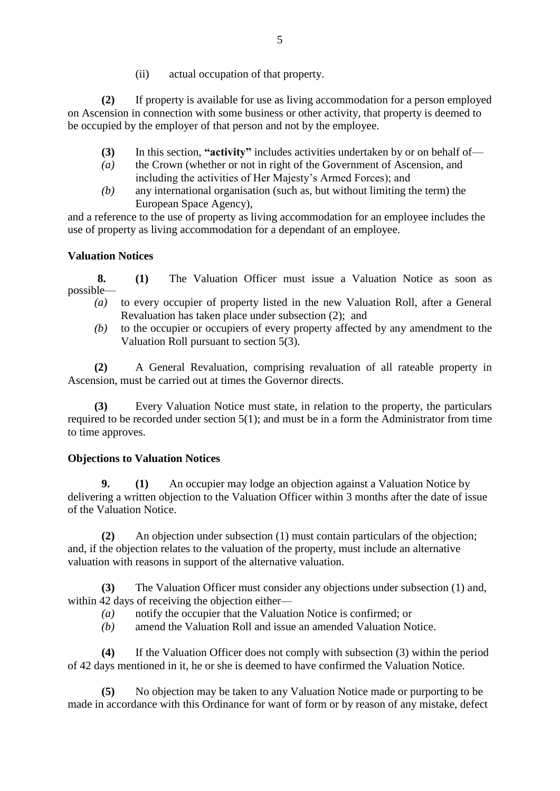(ii) actual occupation of that property.

**(2)** If property is available for use as living accommodation for a person employed on Ascension in connection with some business or other activity, that property is deemed to be occupied by the employer of that person and not by the employee.

- **(3)** In this section, **"activity"** includes activities undertaken by or on behalf of—
- *(a)* the Crown (whether or not in right of the Government of Ascension, and including the activities of Her Majesty's Armed Forces); and
- *(b)* any international organisation (such as, but without limiting the term) the European Space Agency),

and a reference to the use of property as living accommodation for an employee includes the use of property as living accommodation for a dependant of an employee.

# **Valuation Notices**

**8. (1)** The Valuation Officer must issue a Valuation Notice as soon as possible—

- *(a)* to every occupier of property listed in the new Valuation Roll, after a General Revaluation has taken place under subsection (2); and
- *(b)* to the occupier or occupiers of every property affected by any amendment to the Valuation Roll pursuant to section 5(3).

**(2)** A General Revaluation, comprising revaluation of all rateable property in Ascension, must be carried out at times the Governor directs.

**(3)** Every Valuation Notice must state, in relation to the property, the particulars required to be recorded under section 5(1); and must be in a form the Administrator from time to time approves.

# **Objections to Valuation Notices**

**9. (1)** An occupier may lodge an objection against a Valuation Notice by delivering a written objection to the Valuation Officer within 3 months after the date of issue of the Valuation Notice.

**(2)** An objection under subsection (1) must contain particulars of the objection; and, if the objection relates to the valuation of the property, must include an alternative valuation with reasons in support of the alternative valuation.

**(3)** The Valuation Officer must consider any objections under subsection (1) and, within 42 days of receiving the objection either—

- *(a)* notify the occupier that the Valuation Notice is confirmed; or
- *(b)* amend the Valuation Roll and issue an amended Valuation Notice.

**(4)** If the Valuation Officer does not comply with subsection (3) within the period of 42 days mentioned in it, he or she is deemed to have confirmed the Valuation Notice.

**(5)** No objection may be taken to any Valuation Notice made or purporting to be made in accordance with this Ordinance for want of form or by reason of any mistake, defect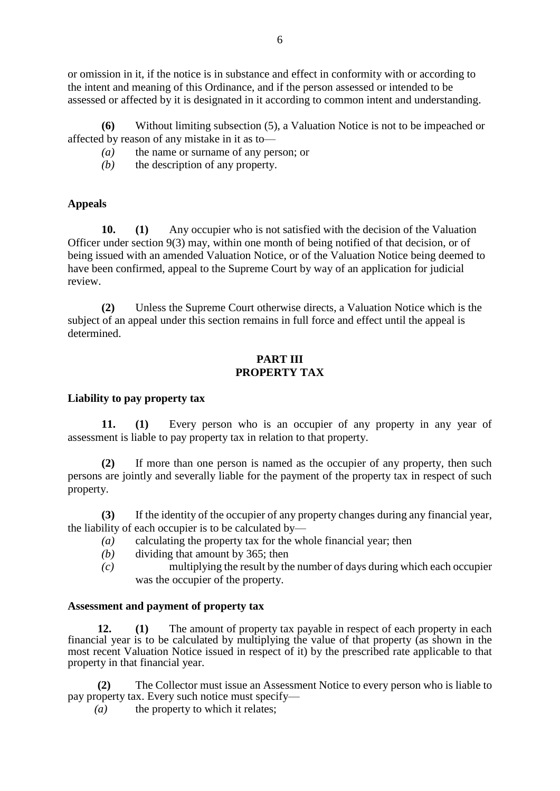or omission in it, if the notice is in substance and effect in conformity with or according to the intent and meaning of this Ordinance, and if the person assessed or intended to be assessed or affected by it is designated in it according to common intent and understanding.

**(6)** Without limiting subsection (5), a Valuation Notice is not to be impeached or affected by reason of any mistake in it as to—

*(a)* the name or surname of any person; or

*(b)* the description of any property.

# **Appeals**

**10. (1)** Any occupier who is not satisfied with the decision of the Valuation Officer under section 9(3) may, within one month of being notified of that decision, or of being issued with an amended Valuation Notice, or of the Valuation Notice being deemed to have been confirmed, appeal to the Supreme Court by way of an application for judicial review.

**(2)** Unless the Supreme Court otherwise directs, a Valuation Notice which is the subject of an appeal under this section remains in full force and effect until the appeal is determined.

# **PART III PROPERTY TAX**

### **Liability to pay property tax**

**11. (1)** Every person who is an occupier of any property in any year of assessment is liable to pay property tax in relation to that property.

**(2)** If more than one person is named as the occupier of any property, then such persons are jointly and severally liable for the payment of the property tax in respect of such property.

**(3)** If the identity of the occupier of any property changes during any financial year, the liability of each occupier is to be calculated by—

- *(a)* calculating the property tax for the whole financial year; then
- *(b)* dividing that amount by 365; then
- *(c)* multiplying the result by the number of days during which each occupier was the occupier of the property.

### **Assessment and payment of property tax**

**12. (1)** The amount of property tax payable in respect of each property in each financial year is to be calculated by multiplying the value of that property (as shown in the most recent Valuation Notice issued in respect of it) by the prescribed rate applicable to that property in that financial year.

**(2)** The Collector must issue an Assessment Notice to every person who is liable to pay property tax. Every such notice must specify—

*(a)* the property to which it relates;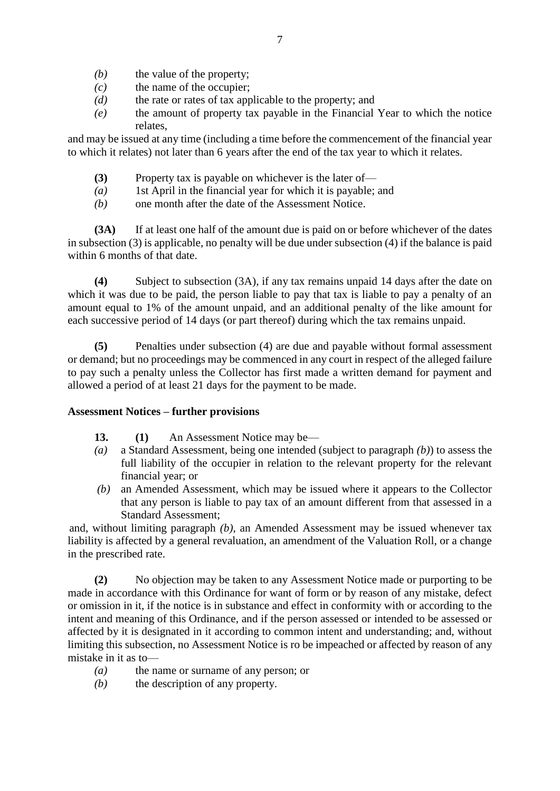- *(b)* the value of the property;
- *(c)* the name of the occupier;
- *(d)* the rate or rates of tax applicable to the property; and
- *(e)* the amount of property tax payable in the Financial Year to which the notice relates,

and may be issued at any time (including a time before the commencement of the financial year to which it relates) not later than 6 years after the end of the tax year to which it relates.

- **(3)** Property tax is payable on whichever is the later of—
- *(a)* 1st April in the financial year for which it is payable; and
- *(b)* one month after the date of the Assessment Notice.

**(3A)** If at least one half of the amount due is paid on or before whichever of the dates in subsection (3) is applicable, no penalty will be due under subsection (4) if the balance is paid within 6 months of that date.

**(4)** Subject to subsection (3A), if any tax remains unpaid 14 days after the date on which it was due to be paid, the person liable to pay that tax is liable to pay a penalty of an amount equal to 1% of the amount unpaid, and an additional penalty of the like amount for each successive period of 14 days (or part thereof) during which the tax remains unpaid.

**(5)** Penalties under subsection (4) are due and payable without formal assessment or demand; but no proceedings may be commenced in any court in respect of the alleged failure to pay such a penalty unless the Collector has first made a written demand for payment and allowed a period of at least 21 days for the payment to be made.

### **Assessment Notices – further provisions**

- **13. (1)** An Assessment Notice may be—
- *(a)* a Standard Assessment, being one intended (subject to paragraph *(b)*) to assess the full liability of the occupier in relation to the relevant property for the relevant financial year; or
- *(b)* an Amended Assessment, which may be issued where it appears to the Collector that any person is liable to pay tax of an amount different from that assessed in a Standard Assessment;

and, without limiting paragraph *(b)*, an Amended Assessment may be issued whenever tax liability is affected by a general revaluation, an amendment of the Valuation Roll, or a change in the prescribed rate.

**(2)** No objection may be taken to any Assessment Notice made or purporting to be made in accordance with this Ordinance for want of form or by reason of any mistake, defect or omission in it, if the notice is in substance and effect in conformity with or according to the intent and meaning of this Ordinance, and if the person assessed or intended to be assessed or affected by it is designated in it according to common intent and understanding; and, without limiting this subsection, no Assessment Notice is ro be impeached or affected by reason of any mistake in it as to—

- *(a)* the name or surname of any person; or
- *(b)* the description of any property.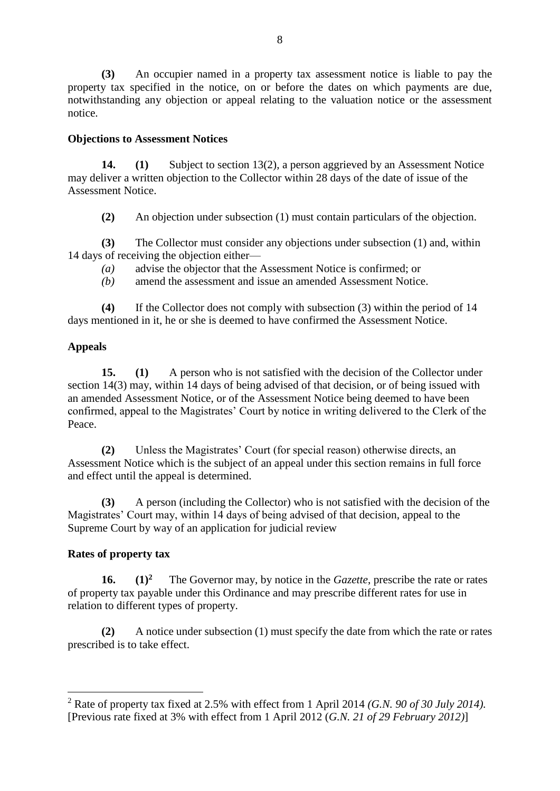**(3)** An occupier named in a property tax assessment notice is liable to pay the property tax specified in the notice, on or before the dates on which payments are due, notwithstanding any objection or appeal relating to the valuation notice or the assessment notice.

# **Objections to Assessment Notices**

**14. (1)** Subject to section 13(2), a person aggrieved by an Assessment Notice may deliver a written objection to the Collector within 28 days of the date of issue of the Assessment Notice.

**(2)** An objection under subsection (1) must contain particulars of the objection.

**(3)** The Collector must consider any objections under subsection (1) and, within 14 days of receiving the objection either—

*(a)* advise the objector that the Assessment Notice is confirmed; or

*(b)* amend the assessment and issue an amended Assessment Notice.

**(4)** If the Collector does not comply with subsection (3) within the period of 14 days mentioned in it, he or she is deemed to have confirmed the Assessment Notice.

# **Appeals**

**15. (1)** A person who is not satisfied with the decision of the Collector under section 14(3) may, within 14 days of being advised of that decision, or of being issued with an amended Assessment Notice, or of the Assessment Notice being deemed to have been confirmed, appeal to the Magistrates' Court by notice in writing delivered to the Clerk of the Peace.

**(2)** Unless the Magistrates' Court (for special reason) otherwise directs, an Assessment Notice which is the subject of an appeal under this section remains in full force and effect until the appeal is determined.

**(3)** A person (including the Collector) who is not satisfied with the decision of the Magistrates' Court may, within 14 days of being advised of that decision, appeal to the Supreme Court by way of an application for judicial review

# **Rates of property tax**

1

**16. (1)<sup>2</sup>** The Governor may, by notice in the *Gazette*, prescribe the rate or rates of property tax payable under this Ordinance and may prescribe different rates for use in relation to different types of property.

**(2)** A notice under subsection (1) must specify the date from which the rate or rates prescribed is to take effect.

<sup>2</sup> Rate of property tax fixed at 2.5% with effect from 1 April 2014 *(G.N. 90 of 30 July 2014).*  [Previous rate fixed at 3% with effect from 1 April 2012 (*G.N. 21 of 29 February 2012)*]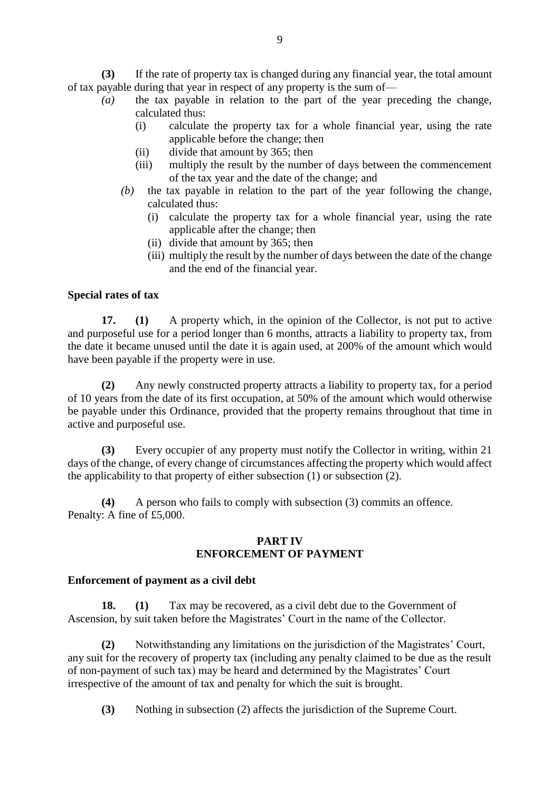**(3)** If the rate of property tax is changed during any financial year, the total amount of tax payable during that year in respect of any property is the sum of—

- *(a)* the tax payable in relation to the part of the year preceding the change, calculated thus:
	- (i) calculate the property tax for a whole financial year, using the rate applicable before the change; then
	- (ii) divide that amount by 365; then
	- (iii) multiply the result by the number of days between the commencement of the tax year and the date of the change; and
	- *(b)* the tax payable in relation to the part of the year following the change, calculated thus:
		- (i) calculate the property tax for a whole financial year, using the rate applicable after the change; then
		- (ii) divide that amount by 365; then
		- (iii) multiply the result by the number of days between the date of the change and the end of the financial year.

### **Special rates of tax**

**17. (1)** A property which, in the opinion of the Collector, is not put to active and purposeful use for a period longer than 6 months, attracts a liability to property tax, from the date it became unused until the date it is again used, at 200% of the amount which would have been payable if the property were in use.

**(2)** Any newly constructed property attracts a liability to property tax, for a period of 10 years from the date of its first occupation, at 50% of the amount which would otherwise be payable under this Ordinance, provided that the property remains throughout that time in active and purposeful use.

**(3)** Every occupier of any property must notify the Collector in writing, within 21 days of the change, of every change of circumstances affecting the property which would affect the applicability to that property of either subsection (1) or subsection (2).

**(4)** A person who fails to comply with subsection (3) commits an offence. Penalty: A fine of £5,000.

#### **PART IV ENFORCEMENT OF PAYMENT**

### **Enforcement of payment as a civil debt**

**18. (1)** Tax may be recovered, as a civil debt due to the Government of Ascension, by suit taken before the Magistrates' Court in the name of the Collector.

**(2)** Notwithstanding any limitations on the jurisdiction of the Magistrates' Court, any suit for the recovery of property tax (including any penalty claimed to be due as the result of non-payment of such tax) may be heard and determined by the Magistrates' Court irrespective of the amount of tax and penalty for which the suit is brought.

**(3)** Nothing in subsection (2) affects the jurisdiction of the Supreme Court.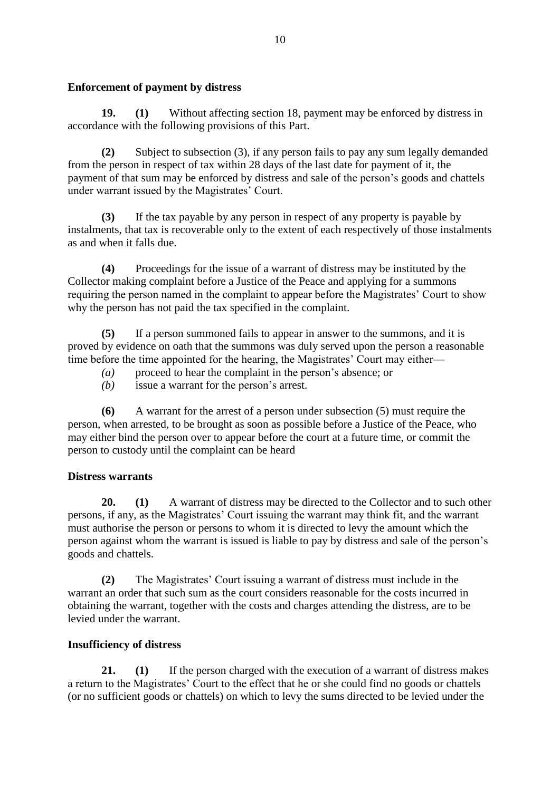# **Enforcement of payment by distress**

**19. (1)** Without affecting section 18, payment may be enforced by distress in accordance with the following provisions of this Part.

**(2)** Subject to subsection (3), if any person fails to pay any sum legally demanded from the person in respect of tax within 28 days of the last date for payment of it, the payment of that sum may be enforced by distress and sale of the person's goods and chattels under warrant issued by the Magistrates' Court.

**(3)** If the tax payable by any person in respect of any property is payable by instalments, that tax is recoverable only to the extent of each respectively of those instalments as and when it falls due.

**(4)** Proceedings for the issue of a warrant of distress may be instituted by the Collector making complaint before a Justice of the Peace and applying for a summons requiring the person named in the complaint to appear before the Magistrates' Court to show why the person has not paid the tax specified in the complaint.

**(5)** If a person summoned fails to appear in answer to the summons, and it is proved by evidence on oath that the summons was duly served upon the person a reasonable time before the time appointed for the hearing, the Magistrates' Court may either—

- *(a)* proceed to hear the complaint in the person's absence; or
- *(b)* issue a warrant for the person's arrest.

**(6)** A warrant for the arrest of a person under subsection (5) must require the person, when arrested, to be brought as soon as possible before a Justice of the Peace, who may either bind the person over to appear before the court at a future time, or commit the person to custody until the complaint can be heard

# **Distress warrants**

**20. (1)** A warrant of distress may be directed to the Collector and to such other persons, if any, as the Magistrates' Court issuing the warrant may think fit, and the warrant must authorise the person or persons to whom it is directed to levy the amount which the person against whom the warrant is issued is liable to pay by distress and sale of the person's goods and chattels.

**(2)** The Magistrates' Court issuing a warrant of distress must include in the warrant an order that such sum as the court considers reasonable for the costs incurred in obtaining the warrant, together with the costs and charges attending the distress, are to be levied under the warrant.

# **Insufficiency of distress**

**21. (1)** If the person charged with the execution of a warrant of distress makes a return to the Magistrates' Court to the effect that he or she could find no goods or chattels (or no sufficient goods or chattels) on which to levy the sums directed to be levied under the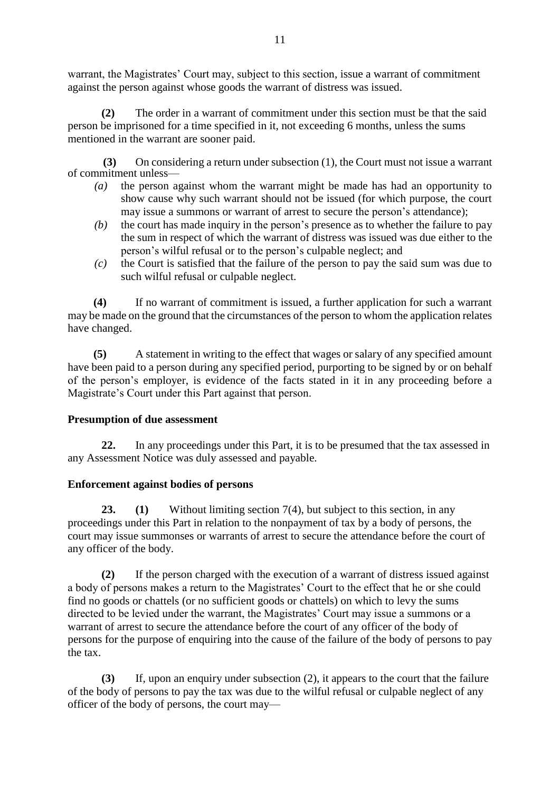warrant, the Magistrates' Court may, subject to this section, issue a warrant of commitment against the person against whose goods the warrant of distress was issued.

**(2)** The order in a warrant of commitment under this section must be that the said person be imprisoned for a time specified in it, not exceeding 6 months, unless the sums mentioned in the warrant are sooner paid.

 **(3)** On considering a return under subsection (1), the Court must not issue a warrant of commitment unless—

- *(a)* the person against whom the warrant might be made has had an opportunity to show cause why such warrant should not be issued (for which purpose, the court may issue a summons or warrant of arrest to secure the person's attendance);
- *(b)* the court has made inquiry in the person's presence as to whether the failure to pay the sum in respect of which the warrant of distress was issued was due either to the person's wilful refusal or to the person's culpable neglect; and
- *(c)* the Court is satisfied that the failure of the person to pay the said sum was due to such wilful refusal or culpable neglect.

**(4)** If no warrant of commitment is issued, a further application for such a warrant may be made on the ground that the circumstances of the person to whom the application relates have changed.

**(5)** A statement in writing to the effect that wages or salary of any specified amount have been paid to a person during any specified period, purporting to be signed by or on behalf of the person's employer, is evidence of the facts stated in it in any proceeding before a Magistrate's Court under this Part against that person.

# **Presumption of due assessment**

**22.** In any proceedings under this Part, it is to be presumed that the tax assessed in any Assessment Notice was duly assessed and payable.

# **Enforcement against bodies of persons**

**23. (1)** Without limiting section 7(4), but subject to this section, in any proceedings under this Part in relation to the nonpayment of tax by a body of persons, the court may issue summonses or warrants of arrest to secure the attendance before the court of any officer of the body.

**(2)** If the person charged with the execution of a warrant of distress issued against a body of persons makes a return to the Magistrates' Court to the effect that he or she could find no goods or chattels (or no sufficient goods or chattels) on which to levy the sums directed to be levied under the warrant, the Magistrates' Court may issue a summons or a warrant of arrest to secure the attendance before the court of any officer of the body of persons for the purpose of enquiring into the cause of the failure of the body of persons to pay the tax.

**(3)** If, upon an enquiry under subsection (2), it appears to the court that the failure of the body of persons to pay the tax was due to the wilful refusal or culpable neglect of any officer of the body of persons, the court may—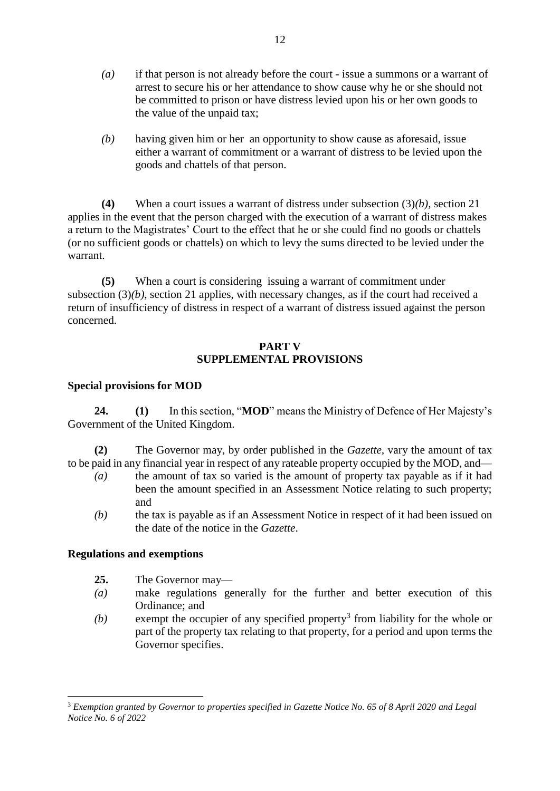- *(a)* if that person is not already before the court issue a summons or a warrant of arrest to secure his or her attendance to show cause why he or she should not be committed to prison or have distress levied upon his or her own goods to the value of the unpaid tax;
- *(b)* having given him or her an opportunity to show cause as aforesaid, issue either a warrant of commitment or a warrant of distress to be levied upon the goods and chattels of that person.

**(4)** When a court issues a warrant of distress under subsection (3)*(b)*, section 21 applies in the event that the person charged with the execution of a warrant of distress makes a return to the Magistrates' Court to the effect that he or she could find no goods or chattels (or no sufficient goods or chattels) on which to levy the sums directed to be levied under the warrant.

**(5)** When a court is considering issuing a warrant of commitment under subsection  $(3)(b)$ , section 21 applies, with necessary changes, as if the court had received a return of insufficiency of distress in respect of a warrant of distress issued against the person concerned.

# **PART V SUPPLEMENTAL PROVISIONS**

# **Special provisions for MOD**

**24. (1)** In this section, "**MOD**" means the Ministry of Defence of Her Majesty's Government of the United Kingdom.

**(2)** The Governor may, by order published in the *Gazette,* vary the amount of tax to be paid in any financial year in respect of any rateable property occupied by the MOD, and—

- *(a)* the amount of tax so varied is the amount of property tax payable as if it had been the amount specified in an Assessment Notice relating to such property; and
- *(b)* the tax is payable as if an Assessment Notice in respect of it had been issued on the date of the notice in the *Gazette*.

### **Regulations and exemptions**

- **25.** The Governor may—
- *(a)* make regulations generally for the further and better execution of this Ordinance; and
- $(b)$  exempt the occupier of any specified property<sup>3</sup> from liability for the whole or part of the property tax relating to that property, for a period and upon terms the Governor specifies.

<sup>&</sup>lt;u>.</u> <sup>3</sup> *Exemption granted by Governor to properties specified in Gazette Notice No. 65 of 8 April 2020 and Legal Notice No. 6 of 2022*